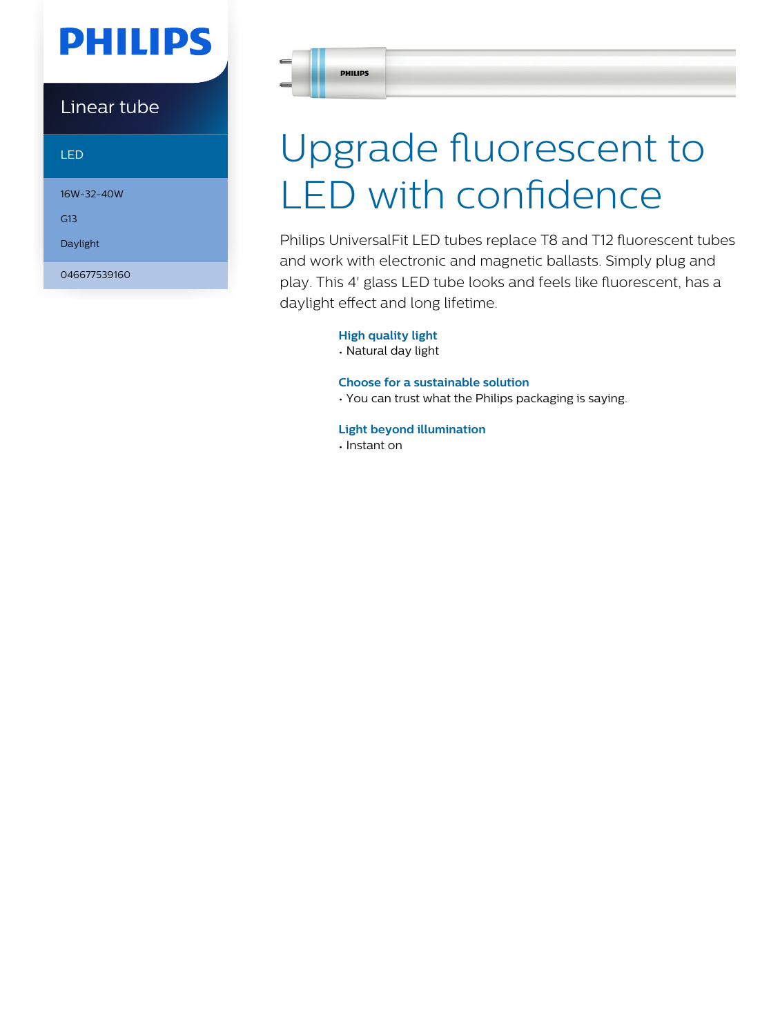# **PHILIPS**

Linear tube

LED

16W-32-40W

G13

Daylight

046677539160

**PHILIPS** 

# Upgrade fluorescent to LED with confidence

Philips UniversalFit LED tubes replace T8 and T12 fluorescent tubes and work with electronic and magnetic ballasts. Simply plug and play. This 4' glass LED tube looks and feels like fluorescent, has a daylight effect and long lifetime.

#### **High quality light**

• Natural day light

#### **Choose for a sustainable solution**

• You can trust what the Philips packaging is saying.

#### **Light beyond illumination**

• Instant on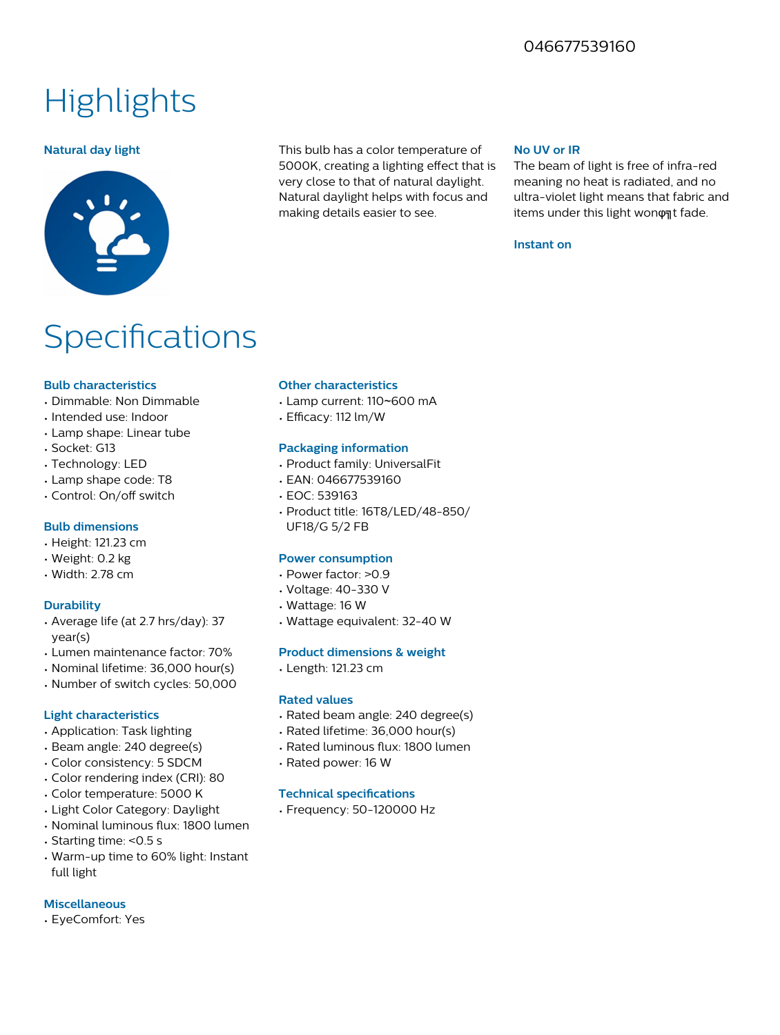### 046677539160

## **Highlights**



**Natural day light** This bulb has a color temperature of 5000K, creating a lighting effect that is very close to that of natural daylight. Natural daylight helps with focus and making details easier to see.

#### **No UV or IR**

The beam of light is free of infra-red meaning no heat is radiated, and no ultra-violet light means that fabric and items under this light wonφat fade.

#### **Instant on**

## **Specifications**

#### **Bulb characteristics**

- Dimmable: Non Dimmable
- Intended use: Indoor
- Lamp shape: Linear tube
- Socket: G13
- Technology: LED
- Lamp shape code: T8
- Control: On/off switch

#### **Bulb dimensions**

- Height: 121.23 cm
- Weight: 0.2 kg
- Width: 2.78 cm

#### **Durability**

- Average life (at 2.7 hrs/day): 37 year(s)
- Lumen maintenance factor: 70%
- Nominal lifetime: 36,000 hour(s)
- Number of switch cycles: 50,000

#### **Light characteristics**

- Application: Task lighting
- Beam angle: 240 degree(s)
- Color consistency: 5 SDCM
- Color rendering index (CRI): 80
- Color temperature: 5000 K
- Light Color Category: Daylight
- Nominal luminous flux: 1800 lumen
- Starting time: <0.5 s
- Warm-up time to 60% light: Instant full light

#### **Miscellaneous**

• EyeComfort: Yes

#### **Other characteristics**

- Lamp current: 110~600 mA
- Efficacy: 112 lm/W

#### **Packaging information**

- Product family: UniversalFit
- EAN: 046677539160
- EOC: 539163
- Product title: 16T8/LED/48-850/ UF18/G 5/2 FB

#### **Power consumption**

- Power factor: >0.9
- Voltage: 40-330 V
- Wattage: 16 W
- Wattage equivalent: 32-40 W

#### **Product dimensions & weight**

• Length: 121.23 cm

#### **Rated values**

- Rated beam angle: 240 degree(s)
- Rated lifetime: 36,000 hour(s)
- Rated luminous flux: 1800 lumen
- Rated power: 16 W

#### **Technical specifications**

• Frequency: 50-120000 Hz